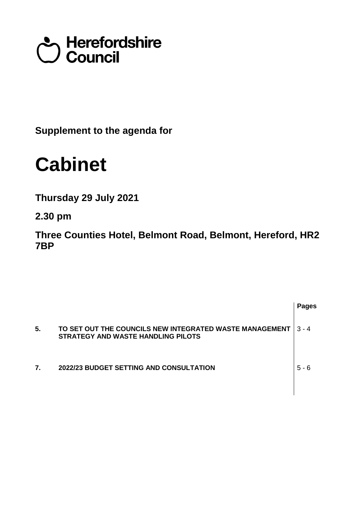## terefordshire<br>Council

**Supplement to the agenda for**

## **Cabinet**

**Thursday 29 July 2021**

**2.30 pm**

**Three Counties Hotel, Belmont Road, Belmont, Hereford, HR2 7BP**

|    |                                                                                               | <b>Pages</b> |
|----|-----------------------------------------------------------------------------------------------|--------------|
| 5. | TO SET OUT THE COUNCILS NEW INTEGRATED WASTE MANAGEMENT<br>STRATEGY AND WASTE HANDLING PILOTS | $3 - 4$      |
| 7. | 2022/23 BUDGET SETTING AND CONSULTATION                                                       | $5 - 6$      |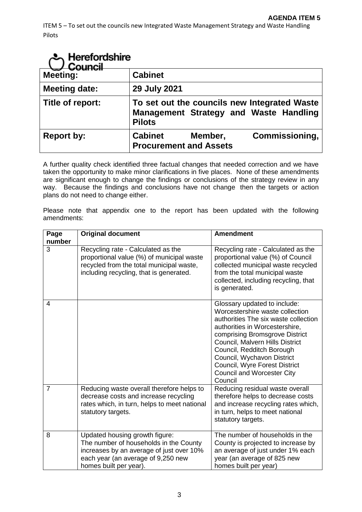| Herefordshire<br>Council |                                                 |         |                                                                                        |
|--------------------------|-------------------------------------------------|---------|----------------------------------------------------------------------------------------|
| <b>Meeting:</b>          | <b>Cabinet</b>                                  |         |                                                                                        |
| <b>Meeting date:</b>     | 29 July 2021                                    |         |                                                                                        |
| Title of report:         | <b>Pilots</b>                                   |         | To set out the councils new Integrated Waste<br>Management Strategy and Waste Handling |
| <b>Report by:</b>        | <b>Cabinet</b><br><b>Procurement and Assets</b> | Member, | Commissioning,                                                                         |

A further quality check identified three factual changes that needed correction and we have taken the opportunity to make minor clarifications in five places. None of these amendments are significant enough to change the findings or conclusions of the strategy review in any way. Because the findings and conclusions have not change then the targets or action plans do not need to change either.

Please note that appendix one to the report has been updated with the following amendments:

| Page<br>number | <b>Original document</b>                                                                                                                                                             | <b>Amendment</b>                                                                                                                                                                                                                                                                                                                                           |
|----------------|--------------------------------------------------------------------------------------------------------------------------------------------------------------------------------------|------------------------------------------------------------------------------------------------------------------------------------------------------------------------------------------------------------------------------------------------------------------------------------------------------------------------------------------------------------|
| 3              | Recycling rate - Calculated as the<br>proportional value (%) of municipal waste<br>recycled from the total municipal waste,<br>including recycling, that is generated.               | Recycling rate - Calculated as the<br>proportional value (%) of Council<br>collected municipal waste recycled<br>from the total municipal waste<br>collected, including recycling, that<br>is generated.                                                                                                                                                   |
| 4              |                                                                                                                                                                                      | Glossary updated to include:<br>Worcestershire waste collection<br>authorities The six waste collection<br>authorities in Worcestershire,<br>comprising Bromsgrove District<br>Council, Malvern Hills District<br>Council, Redditch Borough<br>Council, Wychavon District<br>Council, Wyre Forest District<br><b>Council and Worcester City</b><br>Council |
| $\overline{7}$ | Reducing waste overall therefore helps to<br>decrease costs and increase recycling<br>rates which, in turn, helps to meet national<br>statutory targets.                             | Reducing residual waste overall<br>therefore helps to decrease costs<br>and increase recycling rates which,<br>in turn, helps to meet national<br>statutory targets.                                                                                                                                                                                       |
| 8              | Updated housing growth figure:<br>The number of households in the County<br>increases by an average of just over 10%<br>each year (an average of 9,250 new<br>homes built per year). | The number of households in the<br>County is projected to increase by<br>an average of just under 1% each<br>year (an average of 825 new<br>homes built per year)                                                                                                                                                                                          |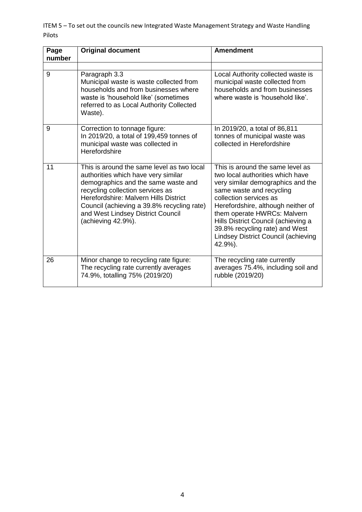ITEM 5 – To set out the councils new Integrated Waste Management Strategy and Waste Handling Pilots

| Page<br>number | <b>Original document</b>                                                                                                                                                                                                                                                                                       | <b>Amendment</b>                                                                                                                                                                                                                                                                                                                                                |
|----------------|----------------------------------------------------------------------------------------------------------------------------------------------------------------------------------------------------------------------------------------------------------------------------------------------------------------|-----------------------------------------------------------------------------------------------------------------------------------------------------------------------------------------------------------------------------------------------------------------------------------------------------------------------------------------------------------------|
|                |                                                                                                                                                                                                                                                                                                                |                                                                                                                                                                                                                                                                                                                                                                 |
| 9              | Paragraph 3.3<br>Municipal waste is waste collected from<br>households and from businesses where<br>waste is 'household like' (sometimes<br>referred to as Local Authority Collected<br>Waste).                                                                                                                | Local Authority collected waste is<br>municipal waste collected from<br>households and from businesses<br>where waste is 'household like'.                                                                                                                                                                                                                      |
| 9              | Correction to tonnage figure:<br>In 2019/20, a total of 199,459 tonnes of<br>municipal waste was collected in<br>Herefordshire                                                                                                                                                                                 | In 2019/20, a total of 86,811<br>tonnes of municipal waste was<br>collected in Herefordshire                                                                                                                                                                                                                                                                    |
| 11             | This is around the same level as two local<br>authorities which have very similar<br>demographics and the same waste and<br>recycling collection services as<br>Herefordshire: Malvern Hills District<br>Council (achieving a 39.8% recycling rate)<br>and West Lindsey District Council<br>(achieving 42.9%). | This is around the same level as<br>two local authorities which have<br>very similar demographics and the<br>same waste and recycling<br>collection services as<br>Herefordshire, although neither of<br>them operate HWRCs: Malvern<br>Hills District Council (achieving a<br>39.8% recycling rate) and West<br>Lindsey District Council (achieving<br>42.9%). |
| 26             | Minor change to recycling rate figure:<br>The recycling rate currently averages<br>74.9%, totalling 75% (2019/20)                                                                                                                                                                                              | The recycling rate currently<br>averages 75.4%, including soil and<br>rubble (2019/20)                                                                                                                                                                                                                                                                          |